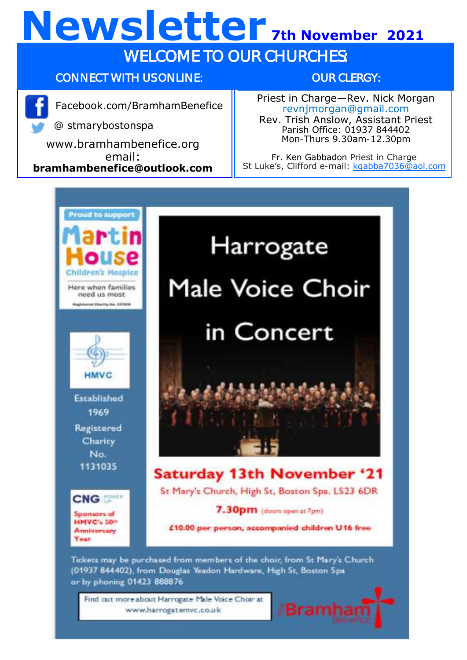## **Newsletter 7th November 2021** WELCOME TO OUR CHURCHES:

#### CONNECT WITH US ONLINE:

www.bramhambenefice.org email: **bramhambenefice@outlook.com**

Facebook.com/BramhamBenefice

@ stmarybostonspa

OUR CLERGY:

Priest in Charge—Rev. Nick Morgan revnjmorgan@gmail.com Rev. Trish Anslow, Assistant Priest Parish Office: 01937 844402 Mon-Thurs 9.30am-12.30pm

Fr. Ken Gabbadon Priest in Charge St Luke's, Clifford e-mail: [kgabba7036@aol.com](mailto:kgabba7036@aol.com)



# Harrogate Male Voice Choir in Concert

#### **Saturday 13th November '21**

St Mary's Church, High St, Boston Spa. LS23 6DR

#### 7.30pm (doors open at 7pm)

£10.00 per person, accompanied children U16 free

Tickets may be purchased from members of the choir, from St Mary's Church (01937 844402), from Douglas Yeadon Hardware, High St, Boston Spa. or by phoning 01423 888876

Find out more about Harrogate Male Voice Choir at www.harrogatemvc.co.uk

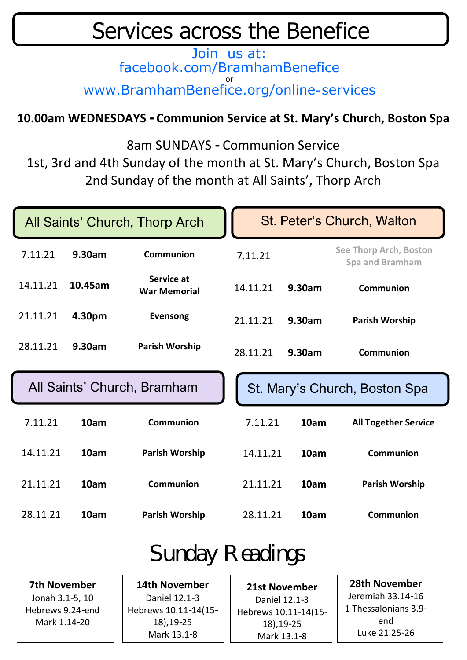### Services across the Benefice

Join us at: facebook.com/BramhamBenefice or www.BramhamBenefice.org/online-services

#### **10.00am WEDNESDAYS - Communion Service at St. Mary's Church, Boston Spa**

8am SUNDAYS - Communion Service

1st, 3rd and 4th Sunday of the month at St. Mary's Church, Boston Spa 2nd Sunday of the month at All Saints', Thorp Arch

| All Saints' Church, Thorp Arch |         |                                   | St. Peter's Church, Walton    |        |                                           |
|--------------------------------|---------|-----------------------------------|-------------------------------|--------|-------------------------------------------|
| 7.11.21                        | 9.30am  | Communion                         | 7.11.21                       |        | See Thorp Arch, Boston<br>Spa and Bramham |
| 14.11.21                       | 10.45am | Service at<br><b>War Memorial</b> | 14.11.21                      | 9.30am | Communion                                 |
| 21.11.21                       | 4.30pm  | Evensong                          | 21.11.21                      | 9.30am | Parish Worship                            |
| 28.11.21                       | 9.30am  | Parish Worship                    | 28.11.21                      | 9.30am | Communion                                 |
|                                |         | All Saints' Church, Bramham       | St. Mary's Church, Boston Spa |        |                                           |
| 7.11.21                        | 10am    | Communion                         | 7.11.21                       | 10am   | <b>All Together Service</b>               |
| 14.11.21                       | 10am    | <b>Parish Worship</b>             | 14.11.21                      | 10am   | Communion                                 |
| 21.11.21                       | 10am    | Communion                         | 21.11.21                      | 10am   | Parish Worship                            |
| 28.11.21                       | 10am    | <b>Parish Worship</b>             | 28.11.21                      | 10am   | Communion                                 |
| Cundov Deodingo                |         |                                   |                               |        |                                           |

### Sunday Readings

**7th November** Jonah 3.1-5, 10 Hebrews 9.24-end Mark 1.14-20

**14th November** Daniel 12.1-3 Hebrews 10.11-14(15- 18),19-25 Mark 13.1-8

**21st November** Daniel 12.1-3 Hebrews 10.11-14(15- 18),19-25 Mark 13.1-8

**28th November** Jeremiah 33.14-16 1 Thessalonians 3.9 end Luke 21.25-26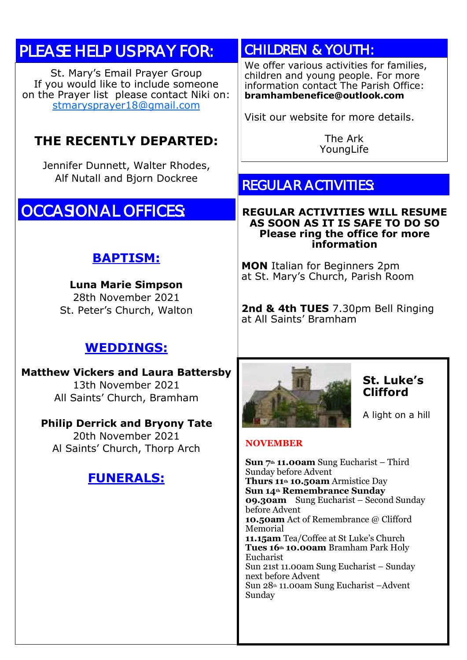#### PLEASE HELP US PRAY FOR:

St. Mary's Email Prayer Group If you would like to include someone on the Prayer list please contact Niki on: [stmarysprayer18@gmail.com](mailto:stmarysprayer18@gmail.com)

#### **THE RECENTLY DEPARTED:**

Jennifer Dunnett, Walter Rhodes, Alf Nutall and Bjorn Dockree

#### OCCASIONAL OFFICES:

#### **BAPTISM:**

**Luna Marie Simpson** 28th November 2021 St. Peter's Church, Walton

#### **WEDDINGS:**

**Matthew Vickers and Laura Battersby** 13th November 2021 All Saints' Church, Bramham

#### **Philip Derrick and Bryony Tate**

20th November 2021 Al Saints' Church, Thorp Arch

#### **FUNERALS:**

#### CHILDREN & YOUTH:

We offer various activities for families. children and young people. For more information contact The Parish Office: **bramhambenefice@outlook.com**

Visit our website for more details.

The Ark YoungLife

#### REGULAR ACTIVITIES:

#### **REGULAR ACTIVITIES WILL RESUME AS SOON AS IT IS SAFE TO DO SO Please ring the office for more information**

**MON** Italian for Beginners 2pm at St. Mary's Church, Parish Room

**2nd & 4th TUES** 7.30pm Bell Ringing at All Saints' Bramham



#### **St. Luke's Clifford**

A light on a hill

#### **NOVEMBER**

**Sun 7th 11.00am** Sung Eucharist – Third Sunday before Advent **Thurs 11th 10.50am** Armistice Day **Sun 14th Remembrance Sunday 09.30am** Sung Eucharist – Second Sunday before Advent **10.50am** Act of Remembrance @ Clifford Memorial **11.15am** Tea/Coffee at St Luke's Church **Tues 16th 10.00am** Bramham Park Holy Eucharist Sun 21st 11.00am Sung Eucharist – Sunday next before Advent Sun 28th 11.00am Sung Eucharist –Advent Sunday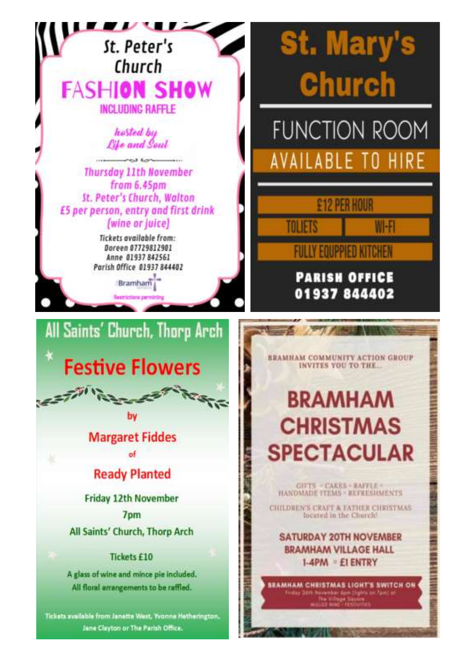

Jane Clayton or The Parish Office.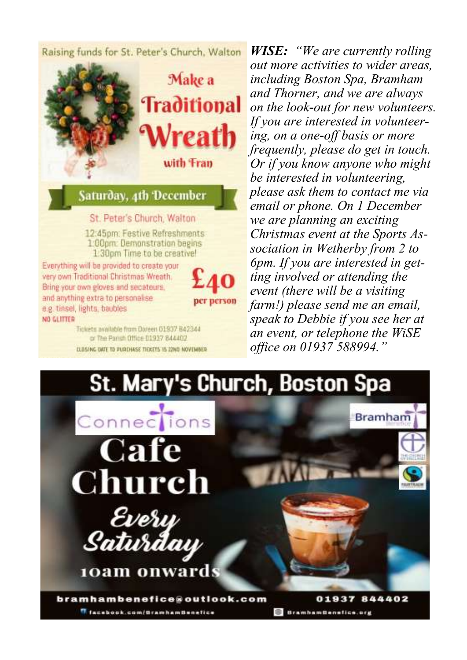Raising funds for St. Peter's Church, Walton



Tickets available from Doreen 01937 B42344 or The Panish Office 01937 844402 CLOSING OATE TO PURCHASE TICKETS 15 22ND NOVEMBER

*WISE: "We are currently rolling out more activities to wider areas, including Boston Spa, Bramham and Thorner, and we are always on the look-out for new volunteers. If you are interested in volunteering, on a one-off basis or more frequently, please do get in touch. Or if you know anyone who might be interested in volunteering, please ask them to contact me via email or phone. On 1 December we are planning an exciting Christmas event at the Sports Association in Wetherby from 2 to 6pm. If you are interested in getting involved or attending the event (there will be a visiting farm!) please send me an email, speak to Debbie if you see her at an event, or telephone the WiSE office on 01937 588994."*

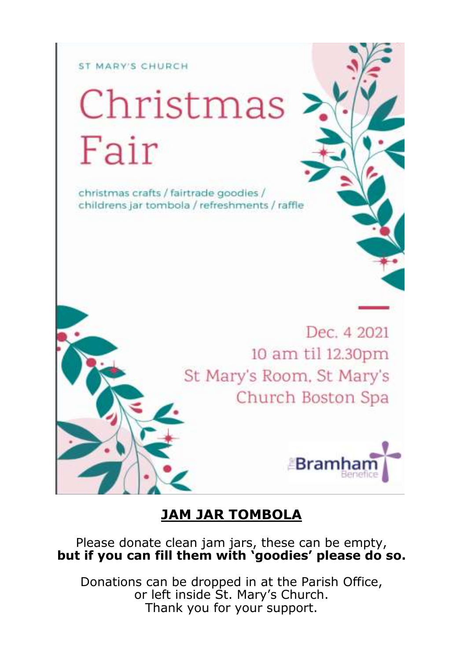#### ST MARY'S CHURCH

# Christmas Fair

christmas crafts / fairtrade goodies / childrens jar tombola / refreshments / raffle

> Dec. 4 2021 10 am til 12.30pm St Mary's Room, St Mary's Church Boston Spa



#### **JAM JAR TOMBOLA**

Please donate clean jam jars, these can be empty, **but if you can fill them with 'goodies' please do so.**

Donations can be dropped in at the Parish Office, or left inside St. Mary's Church. Thank you for your support.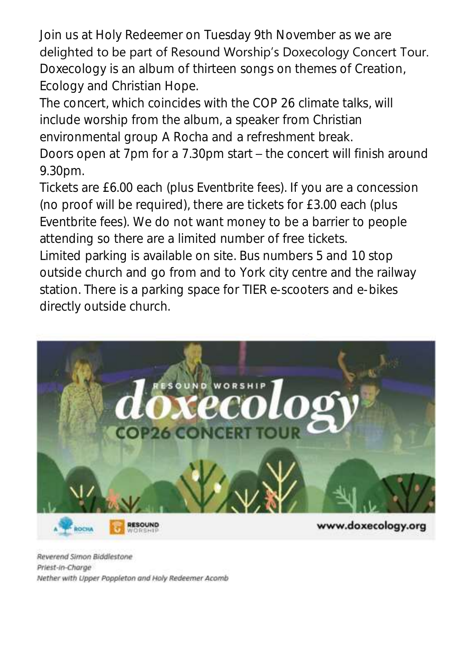Join us at Holy Redeemer on Tuesday 9th November as we are delighted to be part of Resound Worship's Doxecology Concert Tour. Doxecology is an album of thirteen songs on themes of Creation, Ecology and Christian Hope.

The concert, which coincides with the COP 26 climate talks, will include worship from the album, a speaker from Christian environmental group A Rocha and a refreshment break.

Doors open at 7pm for a 7.30pm start – the concert will finish around 9.30pm.

Tickets are £6.00 each (plus Eventbrite fees). If you are a concession (no proof will be required), there are tickets for £3.00 each (plus Eventbrite fees). We do not want money to be a barrier to people attending so there are a limited number of free tickets.

Limited parking is available on site. Bus numbers 5 and 10 stop outside church and go from and to York city centre and the railway station. There is a parking space for TIER e-scooters and e-bikes directly outside church.



Reverend Simon Biddlestone Priest-in-Charge Nether with Upper Poppleton and Holy Redeemer Acomb